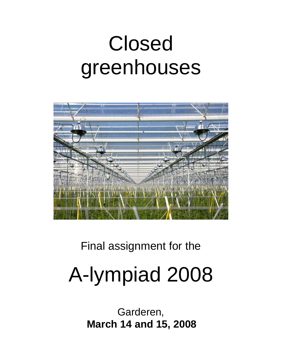# Closed greenhouses



# Final assignment for the

# A-lympiad 2008

Garderen, **March 14 and 15, 2008**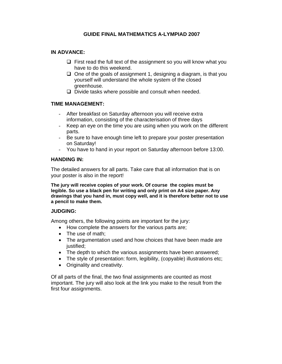## **GUIDE FINAL MATHEMATICS A-LYMPIAD 2007**

#### **IN ADVANCE:**

- $\Box$  First read the full text of the assignment so you will know what you have to do this weekend.
- $\Box$  One of the goals of assignment 1, designing a diagram, is that you yourself will understand the whole system of the closed greenhouse.
- $\Box$  Divide tasks where possible and consult when needed.

#### **TIME MANAGEMENT:**

- After breakfast on Saturday afternoon you will receive extra information, consisting of the characterisation of three days
- Keep an eye on the time you are using when you work on the different parts.
- Be sure to have enough time left to prepare your poster presentation on Saturday!
- You have to hand in your report on Saturday afternoon before 13:00.

#### **HANDING IN:**

The detailed answers for all parts. Take care that all information that is on your poster is also in the report!

**The jury will receive copies of your work. Of course the copies must be legible. So use a black pen for writing and only print on A4 size paper. Any drawings that you hand in, must copy well, and it is therefore better not to use a pencil to make them.** 

#### **JUDGING:**

Among others, the following points are important for the jury:

- How complete the answers for the various parts are;
- The use of math:
- The argumentation used and how choices that have been made are justified:
- The depth to which the various assignments have been answered;
- The style of presentation: form, legibility, (copyable) illustrations etc;
- Originality and creativity.

Of all parts of the final, the two final assignments are counted as most important. The jury will also look at the link you make to the result from the first four assignments.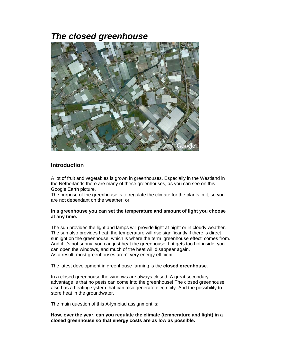# *The closed greenhouse*



# **Introduction**

A lot of fruit and vegetables is grown in greenhouses. Especially in the Westland in the Netherlands there are many of these greenhouses, as you can see on this Google Earth picture.

The purpose of the greenhouse is to regulate the climate for the plants in it, so you are not dependant on the weather, or:

#### **In a greenhouse you can set the temperature and amount of light you choose at any time.**

The sun provides the light and lamps will provide light at night or in cloudy weather. The sun also provides heat: the temperature will rise significantly if there is direct sunlight on the greenhouse, which is where the term 'greenhouse effect' comes from. And if it's not sunny, you can just heat the greenhouse. If it gets too hot inside, you can open the windows, and much of the heat will disappear again. As a result, most greenhouses aren't very energy efficient.

The latest development in greenhouse farming is the **closed greenhouse**.

In a closed greenhouse the windows are always closed. A great secondary advantage is that no pests can come into the greenhouse! The closed greenhouse also has a heating system that can also generate electricity. And the possibility to store heat in the groundwater.

The main question of this A-lympiad assignment is:

**How, over the year, can you regulate the climate (temperature and light) in a closed greenhouse so that energy costs are as low as possible.**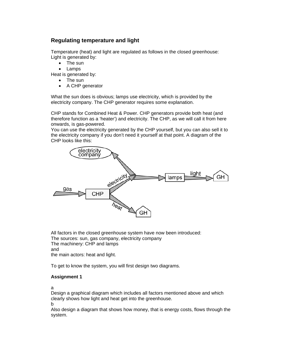# **Regulating temperature and light**

Temperature (heat) and light are regulated as follows in the closed greenhouse: Light is generated by:

- The sun
- Lamps

Heat is generated by:

- The sun
- A CHP generator

What the sun does is obvious; lamps use electricity, which is provided by the electricity company. The CHP generator requires some explanation.

CHP stands for Combined Heat & Power. CHP generators provide both heat (and therefore function as a 'heater') and electricity. The CHP, as we will call it from here onwards, is gas-powered.

You can use the electricity generated by the CHP yourself, but you can also sell it to the electricity company if you don't need it yourself at that point. A diagram of the CHP looks like this:



All factors in the closed greenhouse system have now been introduced: The sources: sun, gas company, electricity company The machinery: CHP and lamps and the main actors: heat and light.

To get to know the system, you will first design two diagrams.

#### **Assignment 1**

a

Design a graphical diagram which includes all factors mentioned above and which clearly shows how light and heat get into the greenhouse.

b

Also design a diagram that shows how money, that is energy costs, flows through the system.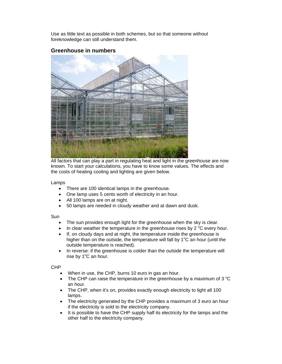Use as little text as possible in both schemes, but so that someone without foreknowledge can still understand them.

## **Greenhouse in numbers**



All factors that can play a part in regulating heat and light in the greenhouse are now known. To start your calculations, you have to know some values. The effects and the costs of heating cooling and lighting are given below.

Lamps

- There are 100 identical lamps in the greenhouse.
- One lamp uses 5 cents worth of electricity in an hour.
- All 100 lamps are on at night.
- 50 lamps are needed in cloudy weather and at dawn and dusk.

#### Sun

- The sun provides enough light for the greenhouse when the sky is clear.
- In clear weather the temperature in the greenhouse rises by 2  $^{\circ}$ C every hour.
- If, on cloudy days and at night, the temperature inside the greenhouse is higher than on the outside, the temperature will fall by  $1^{\circ}$ C an hour (until the outside temperature is reached).
- In reverse: if the greenhouse is colder than the outside the temperature will rise by  $1^{\circ}$ C an hour.

#### CHP

- When in use, the CHP, burns 10 euro in gas an hour.
- The CHP can raise the temperature in the greenhouse by a maximum of 3  $^{\circ}$ C an hour.
- The CHP, when it's on, provides exactly enough electricity to light all 100 lamps.
- The electricity generated by the CHP provides a maximum of 3 euro an hour if the electricity is sold to the electricity company.
- It is possible to have the CHP supply half its electricity for the lamps and the other half to the electricity company.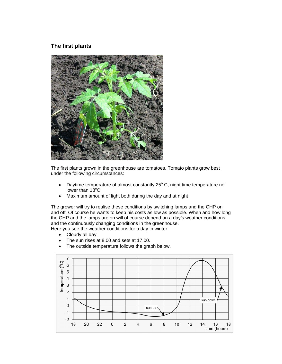# **The first plants**



The first plants grown in the greenhouse are tomatoes. Tomato plants grow best under the following circumstances:

- Daytime temperature of almost constantly  $25^{\circ}$  C, night time temperature no lower than  $18^{\circ}$ C
- Maximum amount of light both during the day and at night

The grower will try to realise these conditions by switching lamps and the CHP on and off. Of course he wants to keep his costs as low as possible. When and how long the CHP and the lamps are on will of course depend on a day's weather conditions and the continuously changing conditions in the greenhouse.

Here you see the weather conditions for a day in winter:

- Cloudy all day.
- The sun rises at 8.00 and sets at 17.00.
- The outside temperature follows the graph below.

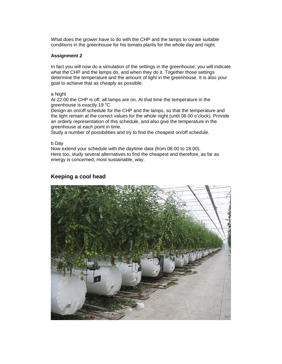What does the grower have to do with the CHP and the lamps to create suitable conditions in the greenhouse for his tomato plants for the whole day and night.

#### **Assignment 2**

In fact you will now do a simulation of the settings in the greenhouse; you will indicate what the CHP and the lamps do, and when they do it. Together those settings determine the temperature and the amount of light in the greenhouse. It is also your goal to achieve that as cheaply as possible.

#### a Night

At 22:00 the CHP is off, all lamps are on. At that time the temperature in the greenhouse is exactly 19 °C.

Design an on/off schedule for the CHP and the lamps, so that the temperature and the light remain at the correct values for the whole night (until 08.00 o'clock). Provide an orderly representation of this schedule, and also give the temperature in the greenhouse at each point in time.

Study a number of possibilities and try to find the cheapest on/off schedule.

#### b Day

Now extend your schedule with the daytime data (from 08.00 to 18.00). Here too, study several alternatives to find the cheapest and therefore, as far as energy is concerned, most sustainable, way.

## **Keeping a cool head**

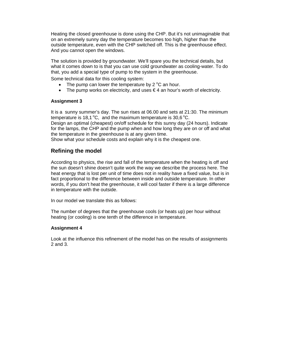Heating the closed greenhouse is done using the CHP. But it's not unimaginable that on an extremely sunny day the temperature becomes too high, higher than the outside temperature, even with the CHP switched off. This is the greenhouse effect. And you cannot open the windows.

The solution is provided by groundwater. We'll spare you the technical details, but what it comes down to is that you can use cold groundwater as cooling-water. To do that, you add a special type of pump to the system in the greenhouse.

Some technical data for this cooling system:

- The pump can lower the temperature by  $2^{\circ}C$  an hour.
- The pump works on electricity, and uses  $\in$  4 an hour's worth of electricity.

#### **Assignment 3**

It is a sunny summer's day. The sun rises at 06.00 and sets at 21:30. The minimum temperature is 18,1 °C, and the maximum temperature is 30,6 °C.

Design an optimal (cheapest) on/off schedule for this sunny day (24 hours). Indicate for the lamps, the CHP and the pump when and how long they are on or off and what the temperature in the greenhouse is at any given time.

Show what your schedule costs and explain why it is the cheapest one.

# **Refining the model**

According to physics, the rise and fall of the temperature when the heating is off and the sun doesn't shine doesn't quite work the way we describe the process here. The heat energy that is lost per unit of time does not in reality have a fixed value, but is in fact proportional to the difference between inside and outside temperature. In other words, if you don't heat the greenhouse, it will cool faster if there is a large difference in temperature with the outside.

In our model we translate this as follows:

The number of degrees that the greenhouse cools (or heats up) per hour without heating (or cooling) is one tenth of the difference in temperature.

#### **Assignment 4**

Look at the influence this refinement of the model has on the results of assignments 2 and 3.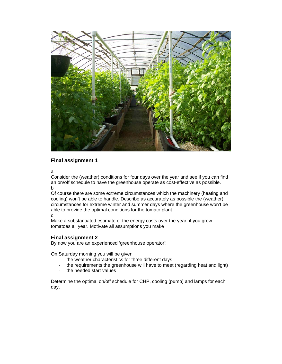

#### **Final assignment 1**

a

Consider the (weather) conditions for four days over the year and see if you can find an on/off schedule to have the greenhouse operate as cost-effective as possible. b

Of course there are some extreme circumstances which the machinery (heating and cooling) won't be able to handle. Describe as accurately as possible the (weather) circumstances for extreme winter and summer days where the greenhouse won't be able to provide the optimal conditions for the tomato plant.

c

Make a substantiated estimate of the energy costs over the year, if you grow tomatoes all year. Motivate all assumptions you make

#### **Final assignment 2**

By now you are an experienced 'greenhouse operator'!

On Saturday morning you will be given

- the weather characteristics for three different days
- the requirements the greenhouse will have to meet (regarding heat and light)
- the needed start values

Determine the optimal on/off schedule for CHP, cooling (pump) and lamps for each day.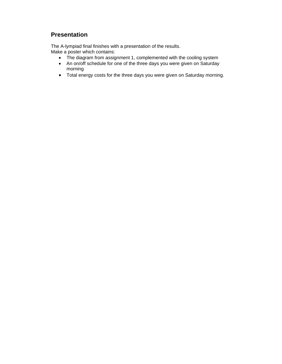# **Presentation**

The A-lympiad final finishes with a presentation of the results. Make a poster which contains:

- The diagram from assignment 1, complemented with the cooling system
- An on/off schedule for one of the three days you were given on Saturday morning
- Total energy costs for the three days you were given on Saturday morning.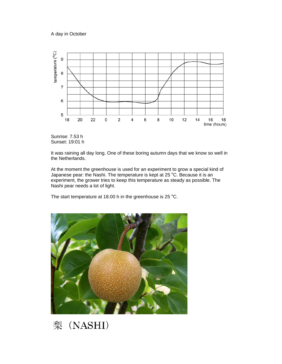A day in October





It was raining all day long. One of these boring autumn days that we know so well in the Netherlands.

At the moment the greenhouse is used for an experiment to grow a special kind of Japanese pear: the Nashi. The temperature is kept at 25  $^{\circ}$ C. Because it is an experiment, the grower tries to keep this temperature as steady as possible. The Nashi pear needs a lot of light.

The start temperature at 18.00 h in the greenhouse is 25  $^{\circ}$ C.



梨 (NASHI)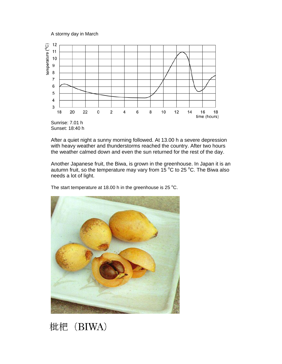A stormy day in March



Sunset: 18:40 h

After a quiet night a sunny morning followed. At 13.00 h a severe depression with heavy weather and thunderstorms reached the country. After two hours the weather calmed down and even the sun returned for the rest of the day.

Another Japanese fruit, the Biwa, is grown in the greenhouse. In Japan it is an autumn fruit, so the temperature may vary from 15  $^{\circ}$ C to 25  $^{\circ}$ C. The Biwa also needs a lot of light.

The start temperature at 18.00 h in the greenhouse is 25  $^{\circ}$ C.



枇杷 (BIWA)